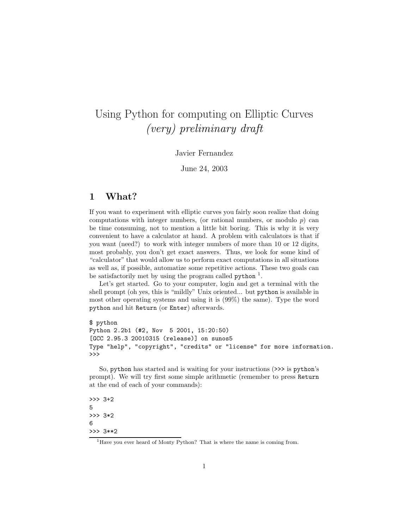# Using Python for computing on Elliptic Curves (very) preliminary draft

#### Javier Fernandez

June 24, 2003

### 1 What?

If you want to experiment with elliptic curves you fairly soon realize that doing computations with integer numbers, (or rational numbers, or modulo  $p$ ) can be time consuming, not to mention a little bit boring. This is why it is very convenient to have a calculator at hand. A problem with calculators is that if you want (need?) to work with integer numbers of more than 10 or 12 digits, most probably, you don't get exact answers. Thus, we look for some kind of "calculator" that would allow us to perform exact computations in all situations as well as, if possible, automatize some repetitive actions. These two goals can be satisfactorily met by using the program called  $\not$ ython<sup>1</sup>.

Let's get started. Go to your computer, login and get a terminal with the shell prompt (oh yes, this is "mildly" Unix oriented... but python is available in most other operating systems and using it is (99%) the same). Type the word python and hit Return (or Enter) afterwards.

```
$ python
Python 2.2b1 (#2, Nov 5 2001, 15:20:50)
[GCC 2.95.3 20010315 (release)] on sunos5
Type "help", "copyright", "credits" or "license" for more information.
>>>
```
So, python has started and is waiting for your instructions (>>> is python's prompt). We will try first some simple arithmetic (remember to press Return at the end of each of your commands):

```
>>> 3+2
5
>>> 3*2
6
>>> 3**2
```
<sup>&</sup>lt;sup>1</sup>Have you ever heard of Monty Python? That is where the name is coming from.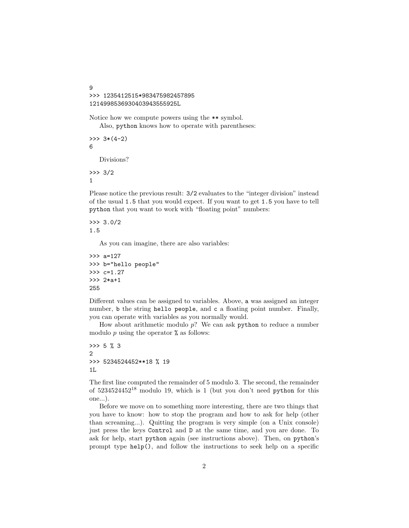```
9
>>> 1235412515*983475982457895
1214998536930403943555925L
```
Notice how we compute powers using the \*\* symbol. Also, python knows how to operate with parentheses:

```
\gg 3*(4-2)
6
   Divisions?
```
>>> 3/2 1

Please notice the previous result: 3/2 evaluates to the "integer division" instead of the usual 1.5 that you would expect. If you want to get 1.5 you have to tell python that you want to work with "floating point" numbers:

```
>>> 3.0/2
1.5
```
As you can imagine, there are also variables:

```
>>> a=127
>>> b="hello people"
>>> c=1.27
>>> 2*a+1
255
```
Different values can be assigned to variables. Above, a was assigned an integer number, b the string hello people, and c a floating point number. Finally, you can operate with variables as you normally would.

How about arithmetic modulo  $p$ ? We can ask python to reduce a number modulo  $p$  using the operator  $%$  as follows:

```
>>> 5 % 3
2
>>> 5234524452**18 % 19
1L
```
The first line computed the remainder of 5 modulo 3. The second, the remainder of  $5234524452^{18}$  modulo 19, which is 1 (but you don't need python for this one...).

Before we move on to something more interesting, there are two things that you have to know: how to stop the program and how to ask for help (other than screaming...). Quitting the program is very simple (on a Unix console) just press the keys Control and D at the same time, and you are done. To ask for help, start python again (see instructions above). Then, on python's prompt type help(), and follow the instructions to seek help on a specific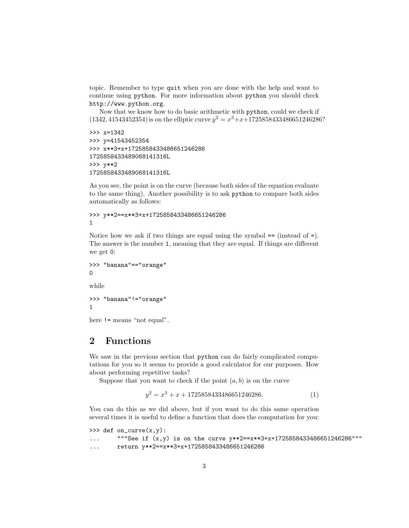topic. Remember to type quit when you are done with the help and want to continue using python. For more information about python you should check http://www.python.org.

Now that we know how to do basic arithmetic with python, could we check if  $(1342, 41543452354)$  is on the elliptic curve  $y^2 = x^3 + x + 1725858433486651246286$ ?

```
>>> x=1342
>>> y=41543452354
>>> x**3+x+1725858433486651246286
1725858433489068141316L
>>> y**2
1725858433489068141316L
```
As you see, the point is on the curve (because both sides of the equation evaluate to the same thing). Another possibility is to ask python to compare both sides automatically as follows:

```
>>> y**2==x**3+x+1725858433486651246286
1
```
Notice how we ask if two things are equal using the symbol  $==$  (instead of  $=$ ). The answer is the number 1, meaning that they are equal. If things are different we get 0:

```
>>> "banana"=="orange"
\Omegawhile
>>> "banana"!="orange"
1
```
here != means "not equal".

## 2 Functions

We saw in the previous section that **python** can do fairly complicated computations for you so it seems to provide a good calculator for our purposes. How about performing repetitive tasks?

Suppose that you want to check if the point  $(a, b)$  is on the curve

$$
y^2 = x^3 + x + 1725858433486651246286.
$$
 (1)

You can do this as we did above, but if you want to do this same operation several times it is useful to define a function that does the computation for you:

```
\gg def on_curve(x,y):
... """See if (x,y) is on the curve y**2 == x**3+x+1725858433486651246286"""
... return y**2==x**3+x+1725858433486651246286
```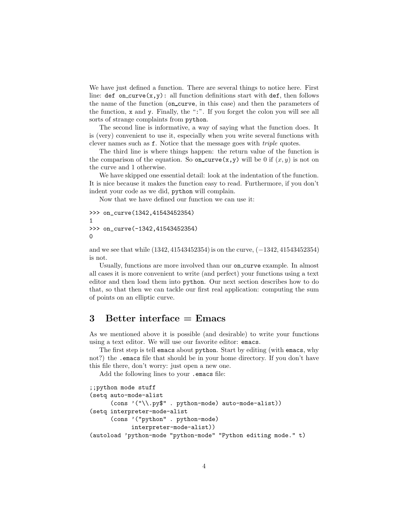We have just defined a function. There are several things to notice here. First line:  $def$  on\_curve $(x,y)$ : all function definitions start with def, then follows the name of the function (on curve, in this case) and then the parameters of the function, x and y. Finally, the ":". If you forget the colon you will see all sorts of strange complaints from python.

The second line is informative, a way of saying what the function does. It is (very) convenient to use it, especially when you write several functions with clever names such as f. Notice that the message goes with triple quotes.

The third line is where things happen: the return value of the function is the comparison of the equation. So on curve  $(x,y)$  will be 0 if  $(x,y)$  is not on the curve and 1 otherwise.

We have skipped one essential detail: look at the indentation of the function. It is nice because it makes the function easy to read. Furthermore, if you don't indent your code as we did, python will complain.

Now that we have defined our function we can use it:

```
>>> on_curve(1342,41543452354)
1
>>> on_curve(-1342,41543452354)
\Omega
```
and we see that while (1342, 41543452354) is on the curve, (−1342, 41543452354) is not.

Usually, functions are more involved than our on curve example. In almost all cases it is more convenient to write (and perfect) your functions using a text editor and then load them into python. Our next section describes how to do that, so that then we can tackle our first real application: computing the sum of points on an elliptic curve.

### 3 Better interface  $=$  Emacs

As we mentioned above it is possible (and desirable) to write your functions using a text editor. We will use our favorite editor: emacs.

The first step is tell emacs about python. Start by editing (with emacs, why not?) the .emacs file that should be in your home directory. If you don't have this file there, don't worry: just open a new one.

Add the following lines to your .emacs file:

```
;;python mode stuff
(setq auto-mode-alist
      (cons '("\\.py$" . python-mode) auto-mode-alist))
(setq interpreter-mode-alist
      (cons '("python" . python-mode)
            interpreter-mode-alist))
(autoload 'python-mode "python-mode" "Python editing mode." t)
```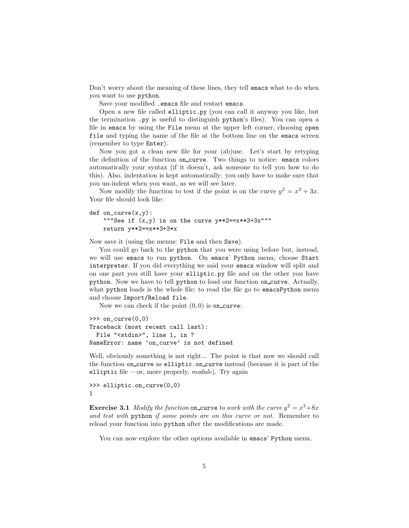Don't worry about the meaning of these lines, they tell emacs what to do when you want to use python.

Save your modified .emacs file and restart emacs.

Open a new file called elliptic.py (you can call it anyway you like, but the termination .py is useful to distinguish python's files). You can open a file in emacs by using the File menu at the upper left corner, choosing open file and typing the name of the file at the bottom line on the emacs screen (remember to type Enter).

Now you got a clean new file for your (ab)use. Let's start by retyping the definition of the function on curve. Two things to notice: emacs colors automatically your syntax (if it doesn't, ask someone to tell you how to do this). Also, indentation is kept automatically: you only have to make sure that you un-indent when you want, as we will see later.

Now modify the function to test if the point is on the curve  $y^2 = x^3 + 3x$ . Your file should look like:

```
def on\_curve(x, y):
    """See if (x, y) is on the curve y**2 == x**3+3x"""
    return y**2==x**3+3*x
```
Now save it (using the menus: File and then Save).

You could go back to the python that you were using before but, instead, we will use emacs to run python. On emacs' Python menu, choose Start interpreter. If you did everything we said your emacs window will split and on one part you still have your elliptic.py file and on the other you have python. Now we have to tell python to load our function on curve. Actually, what python loads is the whole file; to read the file go to emacsPython menu and choose Import/Reload file.

Now we can check if the point  $(0, 0)$  is on\_curve:

```
>>> on_curve(0,0)
Traceback (most recent call last):
  File "<stdin>", line 1, in ?
NameError: name 'on_curve' is not defined
```
Well, obviously something is not right... The point is that now we should call the function on curve as elliptic.on curve instead (because it is part of the elliptic file —or, more properly,  $module$ ). Try again

```
>>> elliptic.on_curve(0,0)
1
```
**Exercise 3.1** Modify the function on curve to work with the curve  $y^2 = x^3 + 8x$ and test with python if some points are on this curve or not. Remember to reload your function into python after the modifications are made.

You can now explore the other options available in emacs' Python menu.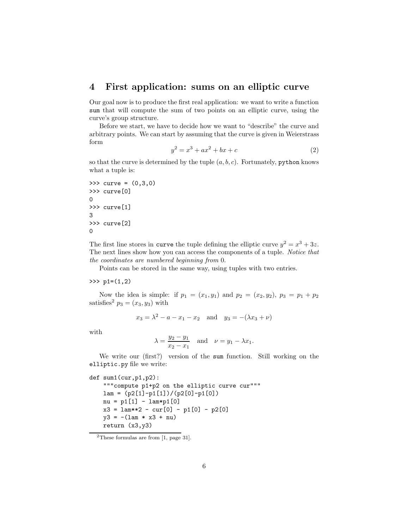#### 4 First application: sums on an elliptic curve

Our goal now is to produce the first real application: we want to write a function sum that will compute the sum of two points on an elliptic curve, using the curve's group structure.

Before we start, we have to decide how we want to "describe" the curve and arbitrary points. We can start by assuming that the curve is given in Weierstrass form

$$
y^2 = x^3 + ax^2 + bx + c \tag{2}
$$

so that the curve is determined by the tuple  $(a, b, c)$ . Fortunately, python knows what a tuple is:

```
>>> curve = (0,3,0)
>>> curve[0]
0
>>> curve[1]
3
>>> curve[2]
\Omega
```
The first line stores in curve the tuple defining the elliptic curve  $y^2 = x^3 + 3z$ . The next lines show how you can access the components of a tuple. Notice that the coordinates are numbered beginning from 0.

Points can be stored in the same way, using tuples with two entries.

#### >>>  $p1=(1,2)$

Now the idea is simple: if  $p_1 = (x_1, y_1)$  and  $p_2 = (x_2, y_2)$ ,  $p_3 = p_1 + p_2$ satisfies<sup>2</sup>  $p_3 = (x_3, y_3)$  with

$$
x_3 = \lambda^2 - a - x_1 - x_2
$$
 and  $y_3 = -(\lambda x_3 + \nu)$ 

with

$$
\lambda = \frac{y_2 - y_1}{x_2 - x_1}
$$
 and  $\nu = y_1 - \lambda x_1$ .

We write our (first?) version of the sum function. Still working on the elliptic.py file we write:

```
def sum1(cur,p1,p2):
    """compute p1+p2 on the elliptic curve cur"""
    lam = (p2[1]-p1[1])/(p2[0]-p1[0])nu = p1[1] - lam * p1[0]x3 = 1am**2 - cur[0] - p1[0] - p2[0]
   y3 = -(1am * x3 + nu)return (x3,y3)
```
<sup>2</sup>These formulas are from [1, page 31].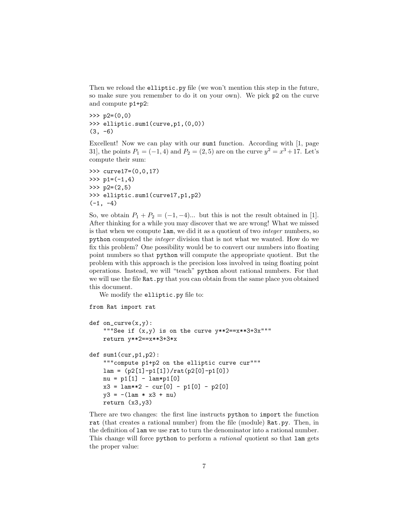Then we reload the elliptic.py file (we won't mention this step in the future, so make sure you remember to do it on your own). We pick p2 on the curve and compute p1+p2:

```
\gg p2=(0,0)>>> elliptic.sum1(curve,p1,(0,0))
(3, -6)
```
Excellent! Now we can play with our sum1 function. According with [1, page 31, the points  $P_1 = (-1, 4)$  and  $P_2 = (2, 5)$  are on the curve  $y^2 = x^3 + 17$ . Let's compute their sum:

```
>>> curve17=(0,0,17)
>>> p1=(-1,4)>>> p2=(2,5)>>> elliptic.sum1(curve17,p1,p2)
(-1, -4)
```
So, we obtain  $P_1 + P_2 = (-1, -4)$ ... but this is not the result obtained in [1]. After thinking for a while you may discover that we are wrong! What we missed is that when we compute lam, we did it as a quotient of two integer numbers, so python computed the integer division that is not what we wanted. How do we fix this problem? One possibility would be to convert our numbers into floating point numbers so that python will compute the appropriate quotient. But the problem with this approach is the precision loss involved in using floating point operations. Instead, we will "teach" python about rational numbers. For that we will use the file Rat.py that you can obtain from the same place you obtained this document.

We modify the elliptic.py file to:

```
from Rat import rat
def on\_curve(x, y):
    """See if (x,y) is on the curve y**2 == x**3+3x"""
   return y**2==x**3+3*x
def sum1(cur,p1,p2):
    """compute p1+p2 on the elliptic curve cur"""
   lam = (p2[1]-p1[1])/rat(p2[0]-p1[0])
    nu = p1[1] - lam * p1[0]x3 = 1am**2 - cur[0] - p1[0] - p2[0]
    y3 = -(1am * x3 + nu)return (x3,y3)
```
There are two changes: the first line instructs python to import the function rat (that creates a rational number) from the file (module) Rat.py. Then, in the definition of lam we use rat to turn the denominator into a rational number. This change will force python to perform a *rational* quotient so that lam gets the proper value: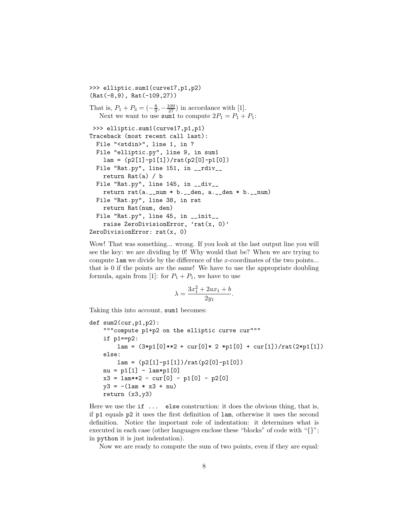>>> elliptic.sum1(curve17,p1,p2) (Rat(-8,9), Rat(-109,27)) That is,  $P_1 + P_3 = \left(-\frac{8}{9}, -\frac{109}{27}\right)$  in accordance with [1]. Next we want to use sum 1 to compute  $2P_1 = P_1 + P_1$ : >>> elliptic.sum1(curve17,p1,p1) Traceback (most recent call last): File "<stdin>", line 1, in ? File "elliptic.py", line 9, in sum1  $lam = (p2[1]-p1[1])/rat(p2[0]-p1[0])$ File "Rat.py", line 151, in \_\_rdiv\_\_ return Rat(a) / b File "Rat.py", line 145, in \_\_div\_\_ return rat(a.\_\_num \* b.\_\_den, a.\_\_den \* b.\_\_num) File "Rat.py", line 38, in rat return Rat(num, den) File "Rat.py", line 45, in \_\_init\_\_ raise ZeroDivisionError, 'rat(x, 0)' ZeroDivisionError: rat(x, 0)

Wow! That was something... wrong. If you look at the last output line you will see the key: we are dividing by 0! Why would that be? When we are trying to compute lam we divide by the difference of the x-coordinates of the two points... that is 0 if the points are the same! We have to use the appropriate doubling formula, again from [1]: for  $P_1 + P_1$ , we have to use

$$
\lambda = \frac{3x_1^2 + 2ax_1 + b}{2y_1}.
$$

Taking this into account, sum1 becomes:

```
def sum2(cur,p1,p2):
    """compute p1+p2 on the elliptic curve cur"""
    if p1==p2:
        lam = (3*p1[0]*2 + cur[0]*2 *p1[0] + cur[1])/rat(2*p1[1])else:
        lam = (p2[1]-p1[1])/rat(p2[0]-p1[0])nu = p1[1] - lam * p1[0]x3 = 1am**2 - cur[0] - p1[0] - p2[0]
   y3 = -(1am * x3 + nu)return (x3,y3)
```
Here we use the if ... else construction: it does the obvious thing, that is, if p1 equals p2 it uses the first definition of lam, otherwise it uses the second definition. Notice the important role of indentation: it determines what is executed in each case (other languages enclose these "blocks" of code with "{}"; in python it is just indentation).

Now we are ready to compute the sum of two points, even if they are equal: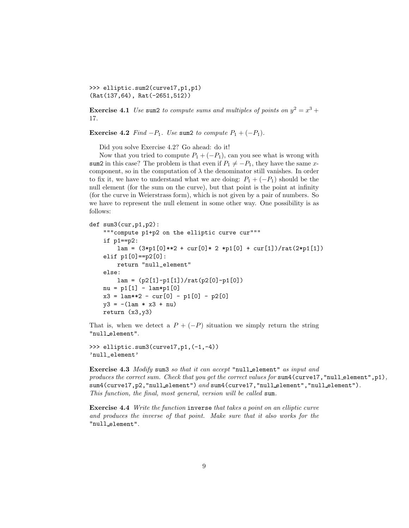>>> elliptic.sum2(curve17,p1,p1) (Rat(137,64), Rat(-2651,512))

**Exercise 4.1** Use sum2 to compute sums and multiples of points on  $y^2 = x^3 +$ 17.

Exercise 4.2 Find  $-P_1$ . Use sum2 to compute  $P_1 + (-P_1)$ .

Did you solve Exercise 4.2? Go ahead: do it!

Now that you tried to compute  $P_1 + (-P_1)$ , can you see what is wrong with sum2 in this case? The problem is that even if  $P_1 \neq -P_1$ , they have the same xcomponent, so in the computation of  $\lambda$  the denominator still vanishes. In order to fix it, we have to understand what we are doing:  $P_1 + (-P_1)$  should be the null element (for the sum on the curve), but that point is the point at infinity (for the curve in Weierstrass form), which is not given by a pair of numbers. So we have to represent the null element in some other way. One possibility is as follows:

```
def sum3(cur,p1,p2):
    """compute p1+p2 on the elliptic curve cur"""
    if p1==p2:
        lam = (3*pi[0]*2 + cur[0]*2 *p1[0] + cur[1])/rat(2*pi[1])elif p1[0]==p2[0]:
        return "null_element"
    else:
        lam = (p2[1]-p1[1])/rat(p2[0]-p1[0])nu = p1[1] - lam*p1[0]
    x3 = 1am**2 - cur[0] - p1[0] - p2[0]
    y3 = -(1am * x3 + nu)return (x3,y3)
```
That is, when we detect a  $P + (-P)$  situation we simply return the string "null element".

```
>>> elliptic.sum3(curve17,p1,(-1,-4))
'null_element'
```
Exercise 4.3 Modify sum3 so that it can accept "null element" as input and produces the correct sum. Check that you get the correct values for sum4(curve17, "null element",p1), sum4(curve17,p2,"null\_element") and sum4(curve17,"null\_element","null\_element"). This function, the final, most general, version will be called sum.

Exercise 4.4 Write the function inverse that takes a point on an elliptic curve and produces the inverse of that point. Make sure that it also works for the "null element".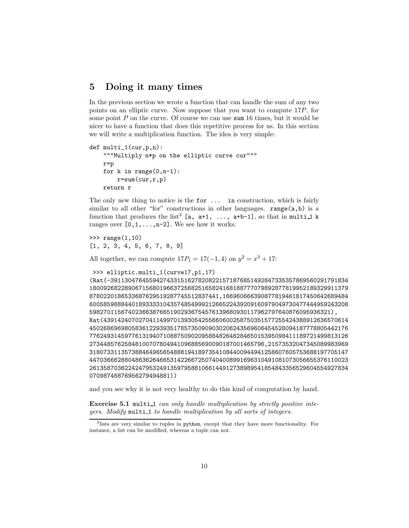#### 5 Doing it many times

In the previous section we wrote a function that can handle the sum of any two points on an elliptic curve. Now suppose that you want to compute 17P, for some point  $P$  on the curve. Of course we can use sum 16 times, but it would be nicer to have a function that does this repetitive process for us. In this section we will write a multiplication function. The idea is very simple:

```
def multi_1(cur,p,n):
    """Multiply n*p on the elliptic curve cur"""
    r=p
    for k in range(0, n-1):
        r=sum(cur,r,p)
    return r
```
The only new thing to notice is the for  $\dots$  in construction, which is fairly similar to all other "for" constructions in other languages.  $range(a, b)$  is a function that produces the list<sup>3</sup> [a,  $a+1$ , ...,  $a+b-1$ ], so that in multi-1 k ranges over  $[0,1,\ldots,n-2]$ . We see how it works:

>>> range(1,10) [1, 2, 3, 4, 5, 6, 7, 8, 9]

All together, we can compute  $17P_1 = 17(-1, 4)$  on  $y^2 = x^3 + 17$ :

```
>>> elliptic.multi_1(curve17,p1,17)
```
(Rat(-39113047645594274331516278208221571876851492847335357869560291791834 18009268228906715680196637256825165824168188777079892877819952189329911379 8780220186533687629519287745512837441,166960666390877819461817450642689484 60058598884401893333104357485499921266522439209160979049730477444959243208 598270115674023663876651902936754576139680930117962797640876095936321), Rat(4391424070270411499701393054255660600258750351577255424388912636570614 45026869698058361229393517857350909030206243569606454528094187778805442176 77624931459776131940710887509020958848264628465015395098411189721499813126 27344857625848100707804941096885690090187001465796,21573532047345089983969 31807331135738846496565488819418973541084400944941258607605753688197705147 44703666288048636264665314226672507404008991696310491081073056655376110023 26135870362242479532491359795881066144912738989541854843356529604554927834 07098746876956279494881))

and you see why it is not very healthy to do this kind of computation by hand.

Exercise 5.1 multi-1 can only handle multiplication by strictly positive integers. Modify multi-1 to handle multiplication by all sorts of integers.

<sup>3</sup> lists are very similar to tuples in python, except that they have more functionality. For instance, a list can be modified, whereas a tuple can not.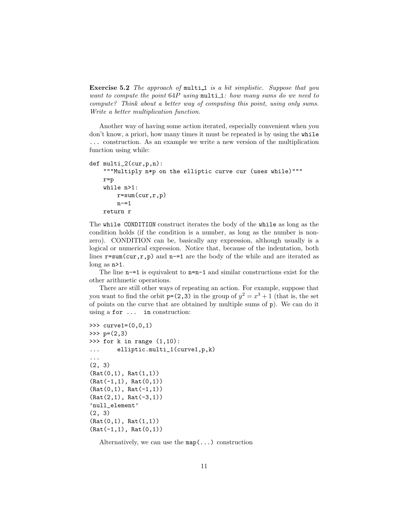Exercise 5.2 The approach of multi\_1 is a bit simplistic. Suppose that you want to compute the point 64P using multi\_1: how many sums do we need to compute? Think about a better way of computing this point, using only sums. Write a better multiplication function.

Another way of having some action iterated, especially convenient when you don't know, a priori, how many times it must be repeated is by using the while ... construction. As an example we write a new version of the multiplication function using while:

```
def multi_2(cur,p,n):
    """Multiply n*p on the elliptic curve cur (uses while)"""
    r=p
    while n>1:
        r = sum(cur,r,p)n = 1return r
```
The while CONDITION construct iterates the body of the while as long as the condition holds (if the condition is a number, as long as the number is nonzero). CONDITION can be, basically any expression, although usually is a logical or numerical expression. Notice that, because of the indentation, both lines  $r = sum(cur, r, p)$  and  $n = 1$  are the body of the while and are iterated as long as n>1.

The line  $n=-1$  is equivalent to  $n=-1$  and similar constructions exist for the other arithmetic operations.

There are still other ways of repeating an action. For example, suppose that you want to find the orbit  $p=(2,3)$  in the group of  $y^2=x^3+1$  (that is, the set of points on the curve that are obtained by multiple sums of p). We can do it using a for ... in construction:

```
>>> curve1=(0,0,1)
>>> p=(2,3)>>> for k in range (1,10):
... elliptic.multi_1(curve1,p,k)
...
(2, 3)
(Rat(0,1), hat(1,1))(Rat(-1,1), Rat(0,1))(Rat(0,1), Rat(-1,1))(Rat(2,1), Rat(-3,1))'null_element'
(2, 3)
(Rat(0,1), Rat(1,1))(Rat(-1,1), Rat(0,1))
```
Alternatively, we can use the  $map(\ldots)$  construction